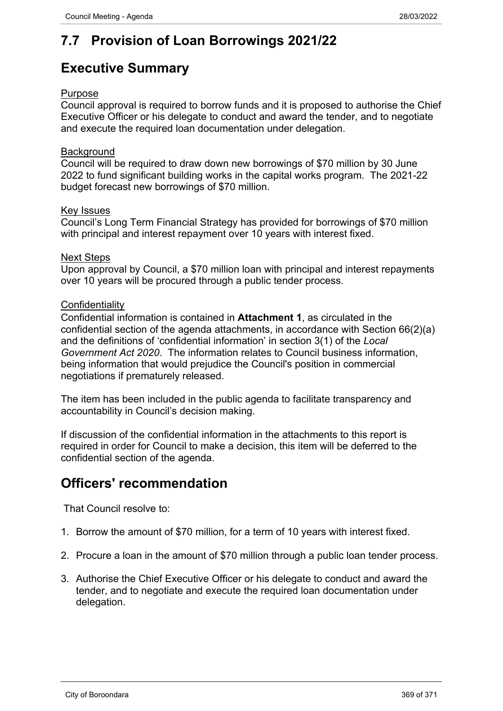# **7.7 Provision of Loan Borrowings 2021/22**

## **Executive Summary**

#### Purpose

Council approval is required to borrow funds and it is proposed to authorise the Chief Executive Officer or his delegate to conduct and award the tender, and to negotiate and execute the required loan documentation under delegation.

#### **Background**

Council will be required to draw down new borrowings of \$70 million by 30 June 2022 to fund significant building works in the capital works program. The 2021-22 budget forecast new borrowings of \$70 million.

#### Key Issues

Council's Long Term Financial Strategy has provided for borrowings of \$70 million with principal and interest repayment over 10 years with interest fixed.

#### Next Steps

Upon approval by Council, a \$70 million loan with principal and interest repayments over 10 years will be procured through a public tender process.

#### **Confidentiality**

Confidential information is contained in **Attachment 1**, as circulated in the confidential section of the agenda attachments, in accordance with Section 66(2)(a) and the definitions of 'confidential information' in section 3(1) of the *Local Government Act 2020*. The information relates to Council business information, being information that would prejudice the Council's position in commercial negotiations if prematurely released.

The item has been included in the public agenda to facilitate transparency and accountability in Council's decision making.

If discussion of the confidential information in the attachments to this report is required in order for Council to make a decision, this item will be deferred to the confidential section of the agenda.

### **Officers' recommendation**

That Council resolve to:

- 1. Borrow the amount of \$70 million, for a term of 10 years with interest fixed.
- 2. Procure a loan in the amount of \$70 million through a public loan tender process.
- 3. Authorise the Chief Executive Officer or his delegate to conduct and award the tender, and to negotiate and execute the required loan documentation under delegation.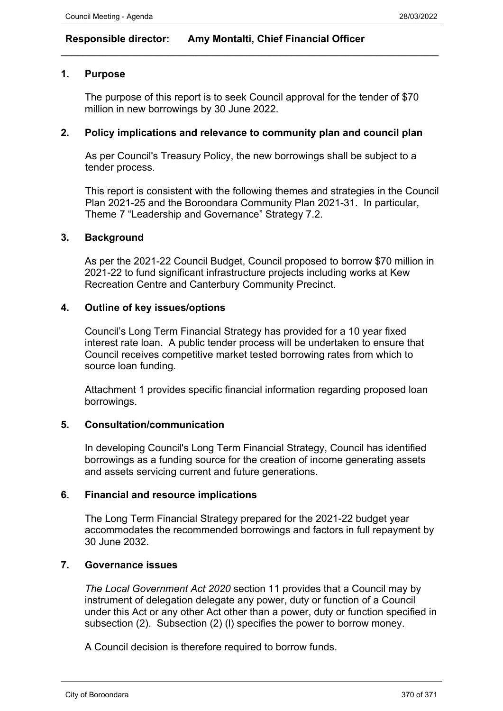### **Responsible director: Amy Montalti, Chief Financial Officer**

#### **1. Purpose**

The purpose of this report is to seek Council approval for the tender of \$70 million in new borrowings by 30 June 2022.

 $\_$  , and the set of the set of the set of the set of the set of the set of the set of the set of the set of the set of the set of the set of the set of the set of the set of the set of the set of the set of the set of th

#### **2. Policy implications and relevance to community plan and council plan**

As per Council's Treasury Policy, the new borrowings shall be subject to a tender process.

This report is consistent with the following themes and strategies in the Council Plan 2021-25 and the Boroondara Community Plan 2021-31. In particular, Theme 7 "Leadership and Governance" Strategy 7.2.

#### **3. Background**

As per the 2021-22 Council Budget, Council proposed to borrow \$70 million in 2021-22 to fund significant infrastructure projects including works at Kew Recreation Centre and Canterbury Community Precinct.

#### **4. Outline of key issues/options**

Council's Long Term Financial Strategy has provided for a 10 year fixed interest rate loan. A public tender process will be undertaken to ensure that Council receives competitive market tested borrowing rates from which to source loan funding.

Attachment 1 provides specific financial information regarding proposed loan borrowings.

#### **5. Consultation/communication**

In developing Council's Long Term Financial Strategy, Council has identified borrowings as a funding source for the creation of income generating assets and assets servicing current and future generations.

#### **6. Financial and resource implications**

The Long Term Financial Strategy prepared for the 2021-22 budget year accommodates the recommended borrowings and factors in full repayment by 30 June 2032.

#### **7. Governance issues**

*The Local Government Act 2020* section 11 provides that a Council may by instrument of delegation delegate any power, duty or function of a Council under this Act or any other Act other than a power, duty or function specified in subsection (2). Subsection (2) (l) specifies the power to borrow money.

A Council decision is therefore required to borrow funds.